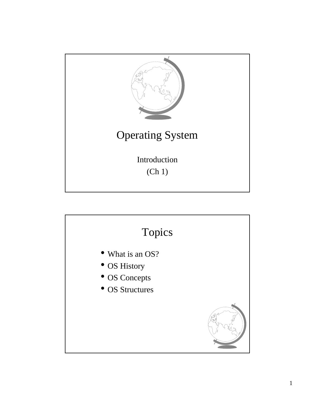

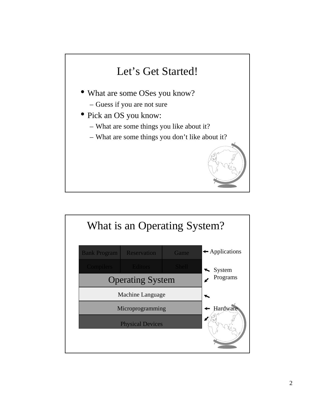

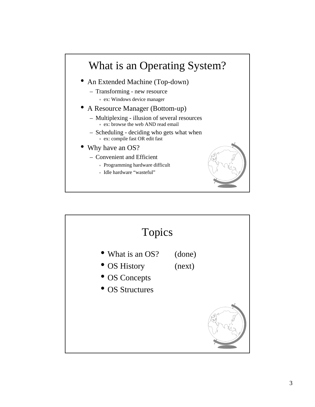

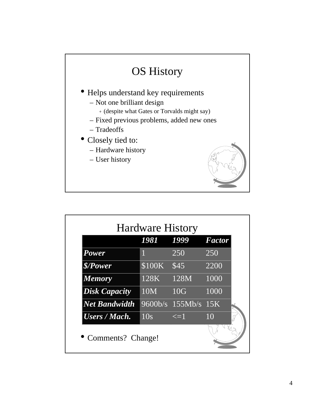

|                      | 1981   | 1999                  | <b>Factor</b> |
|----------------------|--------|-----------------------|---------------|
| <b>Power</b>         | 1      | 250                   | 250           |
| \$/Power             | \$100K | \$45                  | 2200          |
| <b>Memory</b>        | 128K   | 128M                  | 1000          |
| <b>Disk Capacity</b> | 10M    | 10G                   | 1000          |
| <b>Net Bandwidth</b> |        | $9600b/s$ 155Mb/s 15K |               |
| <b>Users / Mach.</b> | 10s    | $\leq$ =1             | 10            |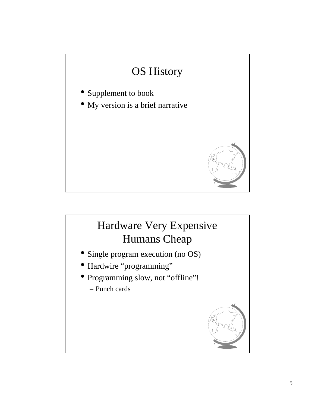# OS History

- Supplement to book
- My version is a brief narrative



# Hardware Very Expensive Humans Cheap

- Single program execution (no OS)
- Hardwire "programming"
- Programming slow, not "offline"!
	- Punch cards

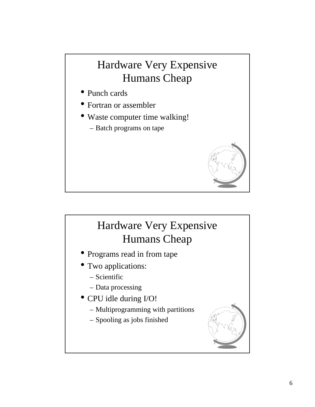# Hardware Very Expensive Humans Cheap

- Punch cards
- Fortran or assembler
- Waste computer time walking!
	- Batch programs on tape

## Hardware Very Expensive Humans Cheap

- Programs read in from tape
- Two applications:
	- Scientific
	- Data processing
- CPU idle during I/O!
	- Multiprogramming with partitions
	- Spooling as jobs finished

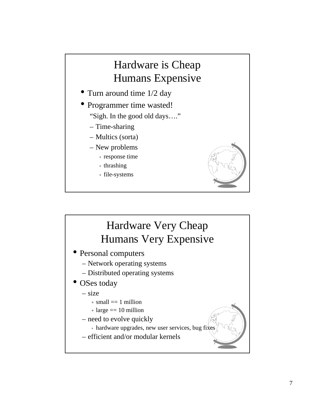# Hardware is Cheap Humans Expensive

- Turn around time 1/2 day
- Programmer time wasted! "Sigh. In the good old days…."
	- Time-sharing
	- Multics (sorta)
	- New problems
		- <sup>+</sup> response time
		- <sup>+</sup> thrashing
		- <sup>+</sup> file-systems

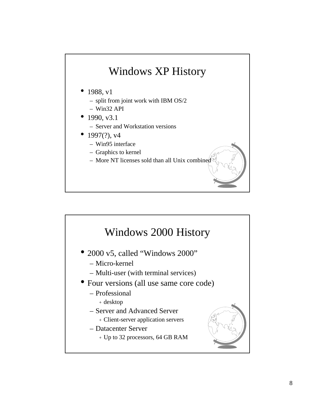## Windows XP History

- 1988, v1
	- split from joint work with IBM OS/2
	- Win32 API
- 1990, v3.1
	- Server and Workstation versions
- 1997 $(?)$ , v4
	- Win95 interface
	- Graphics to kernel
	- More NT licenses sold than all Unix combined

#### Windows 2000 History

- 2000 v5, called "Windows 2000"
	- Micro-kernel
	- Multi-user (with terminal services)
- Four versions (all use same core code)
	- Professional
		- + desktop
	- Server and Advanced Server
		- + Client-server application servers
	- Datacenter Server
		- + Up to 32 processors, 64 GB RAM

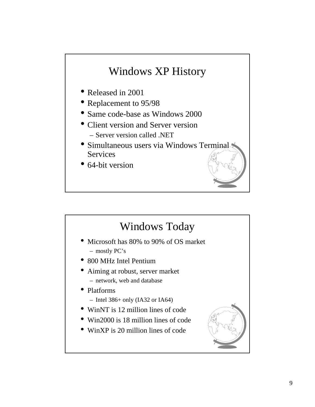## Windows XP History

- Released in 2001
- Replacement to 95/98
- Same code-base as Windows 2000
- Client version and Server version – Server version called .NET
- Simultaneous users via Windows Terminal **Services**
- 64-bit version

## Windows Today

- Microsoft has 80% to 90% of OS market – mostly PC's
- 800 MHz Intel Pentium
- Aiming at robust, server market – network, web and database
- Platforms
	- Intel 386+ only (IA32 or IA64)
- WinNT is 12 million lines of code
- Win2000 is 18 million lines of code
- WinXP is 20 million lines of code

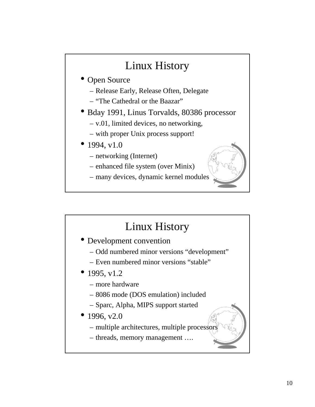## Linux History

- Open Source
	- Release Early, Release Often, Delegate
	- "The Cathedral or the Baazar"
- Bday 1991, Linus Torvalds, 80386 processor
	- v.01, limited devices, no networking,
	- with proper Unix process support!
- 1994, v1.0
	- networking (Internet)
	- enhanced file system (over Minix)
	- many devices, dynamic kernel modules
		- Linux History
- Development convention
	- Odd numbered minor versions "development"
	- Even numbered minor versions "stable"
- 1995, v1.2
	- more hardware
	- 8086 mode (DOS emulation) included
	- Sparc, Alpha, MIPS support started
- 1996, v2.0
	- $-$  multiple architectures, multiple process
	- threads, memory management ….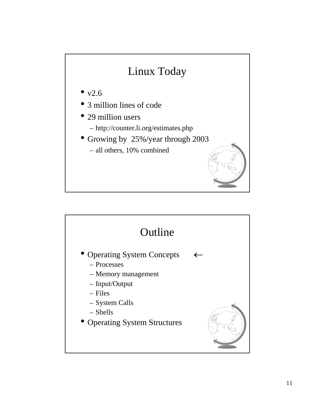

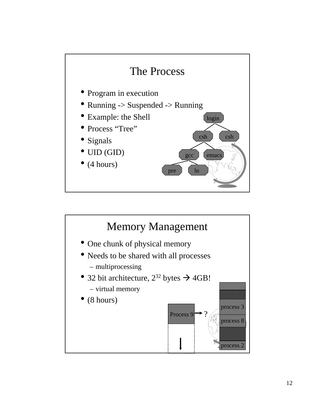

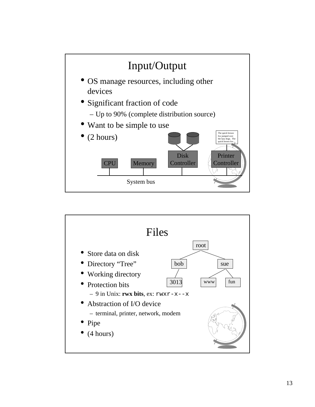

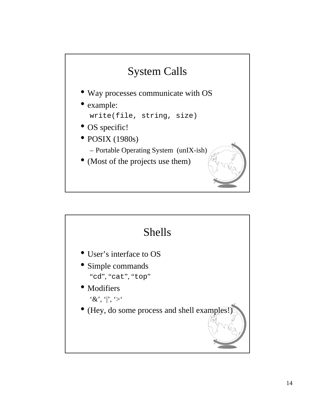# System Calls • Way processes communicate with OS • example: write(file, string, size) • OS specific! • POSIX (1980s) – Portable Operating System (unIX-ish) • (Most of the projects use them)

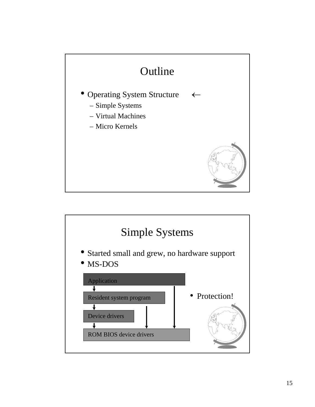

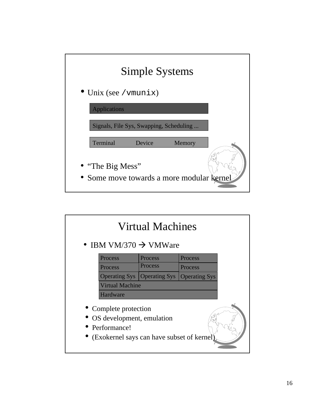

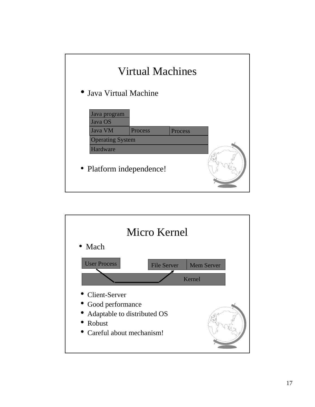